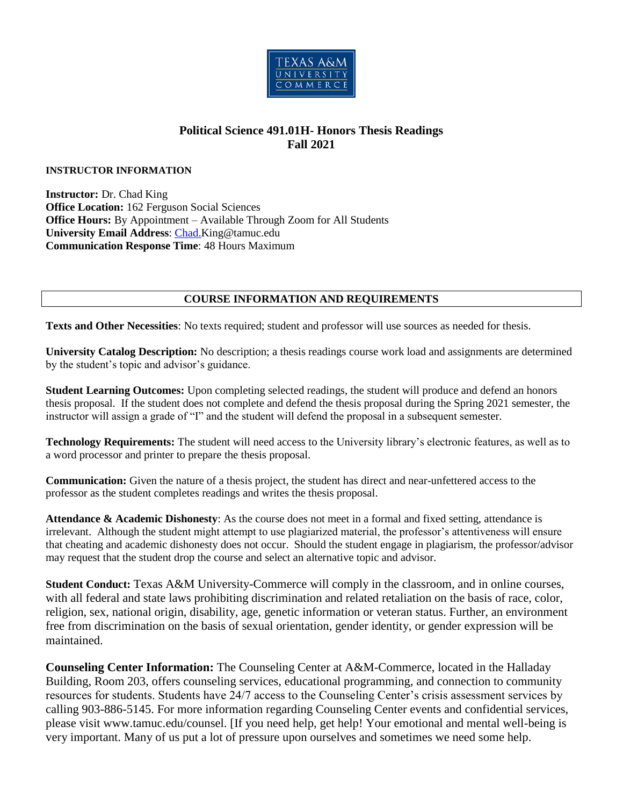

## **Political Science 491.01H- Honors Thesis Readings Fall 2021**

## **INSTRUCTOR INFORMATION**

**Instructor:** Dr. Chad King **Office Location:** 162 Ferguson Social Sciences **Office Hours:** By Appointment – Available Through Zoom for All Students **University Email Address**: [Chad.K](mailto:Chad.)ing@tamuc.edu **Communication Response Time**: 48 Hours Maximum

## **COURSE INFORMATION AND REQUIREMENTS**

**Texts and Other Necessities**: No texts required; student and professor will use sources as needed for thesis.

**University Catalog Description:** No description; a thesis readings course work load and assignments are determined by the student's topic and advisor's guidance.

**Student Learning Outcomes:** Upon completing selected readings, the student will produce and defend an honors thesis proposal. If the student does not complete and defend the thesis proposal during the Spring 2021 semester, the instructor will assign a grade of "I" and the student will defend the proposal in a subsequent semester.

**Technology Requirements:** The student will need access to the University library's electronic features, as well as to a word processor and printer to prepare the thesis proposal.

**Communication:** Given the nature of a thesis project, the student has direct and near-unfettered access to the professor as the student completes readings and writes the thesis proposal.

**Attendance & Academic Dishonesty**: As the course does not meet in a formal and fixed setting, attendance is irrelevant. Although the student might attempt to use plagiarized material, the professor's attentiveness will ensure that cheating and academic dishonesty does not occur. Should the student engage in plagiarism, the professor/advisor may request that the student drop the course and select an alternative topic and advisor.

**Student Conduct:** Texas A&M University-Commerce will comply in the classroom, and in online courses, with all federal and state laws prohibiting discrimination and related retaliation on the basis of race, color, religion, sex, national origin, disability, age, genetic information or veteran status. Further, an environment free from discrimination on the basis of sexual orientation, gender identity, or gender expression will be maintained.

**Counseling Center Information:** The Counseling Center at A&M-Commerce, located in the Halladay Building, Room 203, offers counseling services, educational programming, and connection to community resources for students. Students have 24/7 access to the Counseling Center's crisis assessment services by calling 903-886-5145. For more information regarding Counseling Center events and confidential services, please visit www.tamuc.edu/counsel. [If you need help, get help! Your emotional and mental well-being is very important. Many of us put a lot of pressure upon ourselves and sometimes we need some help.